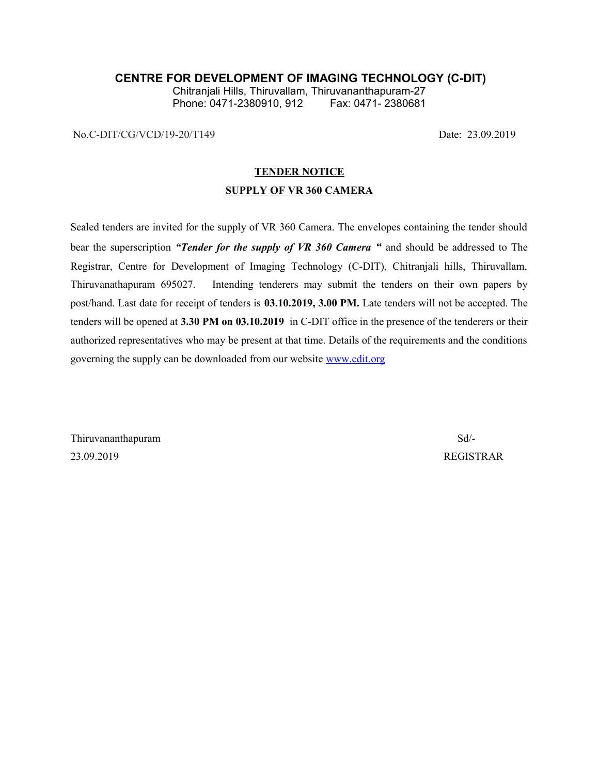## **CENTRE FOR DEVELOPMENT OF IMAGING TECHNOLOGY (C-DIT)**

Chitranjali Hills, Thiruvallam, Thiruvananthapuram-27 Phone: 0471-2380910, 912

No.C-DIT/CG/VCD/19-20/T149 Date: 23.09.2019

### **TENDER NOTICE**

#### **SUPPLY OF VR 360 CAMERA**

Sealed tenders are invited for the supply of VR 360 Camera. The envelopes containing the tender should bear the superscription *"Tender for the supply of VR 360 Camera "* and should be addressed to The Registrar, Centre for Development of Imaging Technology (C-DIT), Chitranjali hills, Thiruvallam, Thiruvanathapuram 695027. Intending tenderers may submit the tenders on their own papers by post/hand. Last date for receipt of tenders is **03.10.2019, 3.00 PM.** Late tenders will not be accepted. The tenders will be opened at **3.30 PM on 03.10.2019** in C-DIT office in the presence of the tenderers or their authorized representatives who may be present at that time. Details of the requirements and the conditions governing the supply can be downloaded from our website [www.cdit.org](http://www.cdit.org/)

Thiruvananthapuram Sd/- 23.09.2019 REGISTRAR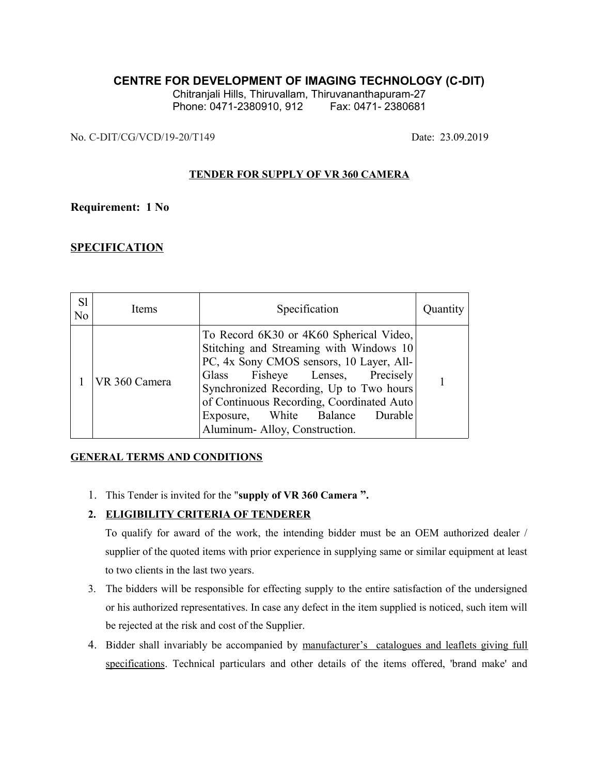# **CENTRE FOR DEVELOPMENT OF IMAGING TECHNOLOGY (C-DIT)**

Chitranjali Hills, Thiruvallam, Thiruvananthapuram-27 Phone: 0471-2380910, 912 Fax: 0471-2380681

No. C-DIT/CG/VCD/19-20/T149 Date: 23.09.2019

#### **TENDER FOR SUPPLY OF VR 360 CAMERA**

## **Requirement: 1 No**

# **SPECIFICATION**

| S1<br>N <sub>o</sub> | Items         | Specification                                                                                                                                                                                                                                                                                                                    | Quantity |
|----------------------|---------------|----------------------------------------------------------------------------------------------------------------------------------------------------------------------------------------------------------------------------------------------------------------------------------------------------------------------------------|----------|
|                      | VR 360 Camera | To Record 6K30 or 4K60 Spherical Video,<br>Stitching and Streaming with Windows 10<br>PC, 4x Sony CMOS sensors, 10 Layer, All-<br>Fisheye Lenses, Precisely<br>Glass<br>Synchronized Recording, Up to Two hours<br>of Continuous Recording, Coordinated Auto<br>Exposure, White Balance Durable<br>Aluminum-Alloy, Construction. |          |

## **GENERAL TERMS AND CONDITIONS**

1. This Tender is invited for the "**supply of VR 360 Camera ".**

## **2. ELIGIBILITY CRITERIA OF TENDERER**

To qualify for award of the work, the intending bidder must be an OEM authorized dealer / supplier of the quoted items with prior experience in supplying same or similar equipment at least to two clients in the last two years.

- 3. The bidders will be responsible for effecting supply to the entire satisfaction of the undersigned or his authorized representatives. In case any defect in the item supplied is noticed, such item will be rejected at the risk and cost of the Supplier.
- 4. Bidder shall invariably be accompanied by manufacturer's catalogues and leaflets giving full specifications. Technical particulars and other details of the items offered, 'brand make' and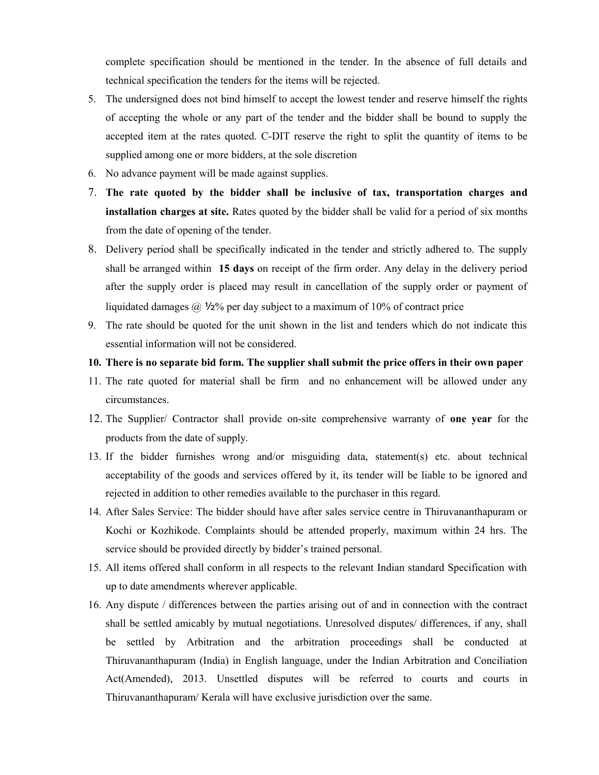complete specification should be mentioned in the tender. In the absence of full details and technical specification the tenders for the items will be rejected.

- 5. The undersigned does not bind himself to accept the lowest tender and reserve himself the rights of accepting the whole or any part of the tender and the bidder shall be bound to supply the accepted item at the rates quoted. C-DIT reserve the right to split the quantity of items to be supplied among one or more bidders, at the sole discretion
- 6. No advance payment will be made against supplies.
- 7. **The rate quoted by the bidder shall be inclusive of tax, transportation charges and installation charges at site.** Rates quoted by the bidder shall be valid for a period of six months from the date of opening of the tender.
- 8. Delivery period shall be specifically indicated in the tender and strictly adhered to. The supply shall be arranged within **15 days** on receipt of the firm order. Any delay in the delivery period after the supply order is placed may result in cancellation of the supply order or payment of liquidated damages  $\omega$  1/2% per day subject to a maximum of 10% of contract price
- 9. The rate should be quoted for the unit shown in the list and tenders which do not indicate this essential information will not be considered.

#### **10. There is no separate bid form. The supplier shall submit the price offers in their own paper**

- 11. The rate quoted for material shall be firm and no enhancement will be allowed under any circumstances.
- 12. The Supplier/ Contractor shall provide on-site comprehensive warranty of **one year** for the products from the date of supply.
- 13. If the bidder furnishes wrong and/or misguiding data, statement(s) etc. about technical acceptability of the goods and services offered by it, its tender will be liable to be ignored and rejected in addition to other remedies available to the purchaser in this regard.
- 14. After Sales Service: The bidder should have after sales service centre in Thiruvananthapuram or Kochi or Kozhikode. Complaints should be attended properly, maximum within 24 hrs. The service should be provided directly by bidder's trained personal.
- 15. All items offered shall conform in all respects to the relevant Indian standard Specification with up to date amendments wherever applicable.
- 16. Any dispute / differences between the parties arising out of and in connection with the contract shall be settled amicably by mutual negotiations. Unresolved disputes/ differences, if any, shall be settled by Arbitration and the arbitration proceedings shall be conducted at Thiruvananthapuram (India) in English language, under the Indian Arbitration and Conciliation Act(Amended), 2013. Unsettled disputes will be referred to courts and courts in Thiruvananthapuram/ Kerala will have exclusive jurisdiction over the same.